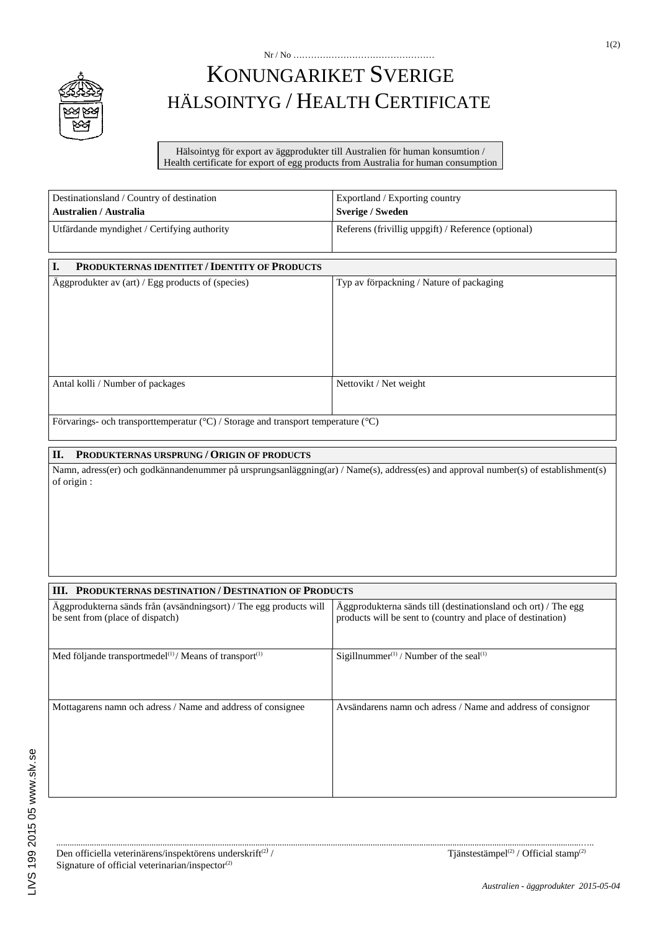

## KONUNGARIKET SVERIGE HÄLSOINTYG / HEALTH CERTIFICATE

Nr / No …………………………………………

Hälsointyg för export av äggprodukter till Australien för human konsumtion / Health certificate for export of egg products from Australia for human consumption

| Destinationsland / Country of destination                                                                  | Exportland / Exporting country                      |
|------------------------------------------------------------------------------------------------------------|-----------------------------------------------------|
| <b>Australien / Australia</b>                                                                              | <b>Sverige / Sweden</b>                             |
| Utfärdande myndighet / Certifying authority                                                                | Referens (frivillig uppgift) / Reference (optional) |
|                                                                                                            |                                                     |
| I.<br><b>PRODUKTERNAS IDENTITET / IDENTITY OF PRODUCTS</b>                                                 |                                                     |
| Aggprodukter av (art) / Egg products of (species)                                                          | Typ av förpackning / Nature of packaging            |
|                                                                                                            |                                                     |
|                                                                                                            |                                                     |
|                                                                                                            |                                                     |
|                                                                                                            |                                                     |
|                                                                                                            |                                                     |
| Antal kolli / Number of packages                                                                           | Nettovikt / Net weight                              |
|                                                                                                            |                                                     |
| $E_{\text{unremin}}$ as a calculation of $\epsilon$ (00) $\ell$ (see as and transport temperature $(00)$ ) |                                                     |

Förvarings- och transporttemperatur (°C) / Storage and transport temperature (°C)

## **II. PRODUKTERNAS URSPRUNG / ORIGIN OF PRODUCTS**

Namn, adress(er) och godkännandenummer på ursprungsanläggning(ar) / Name(s), address(es) and approval number(s) of establishment(s) of origin :

| <b>III. PRODUKTERNAS DESTINATION / DESTINATION OF PRODUCTS</b>                                         |                                                                                                                               |  |
|--------------------------------------------------------------------------------------------------------|-------------------------------------------------------------------------------------------------------------------------------|--|
| Aggprodukterna sänds från (avsändningsort) / The egg products will<br>be sent from (place of dispatch) | Aggprodukterna sänds till (destinationsland och ort) / The egg<br>products will be sent to (country and place of destination) |  |
| Med följande transportmedel $^{(1)}$ /Means of transport $^{(1)}$                                      | Sigillnummer <sup>(1)</sup> / Number of the seal <sup>(1)</sup>                                                               |  |
| Mottagarens namn och adress / Name and address of consignee                                            | Avsändarens namn och adress / Name and address of consignor                                                                   |  |

.............................................................................................................................................................................................................................................…..